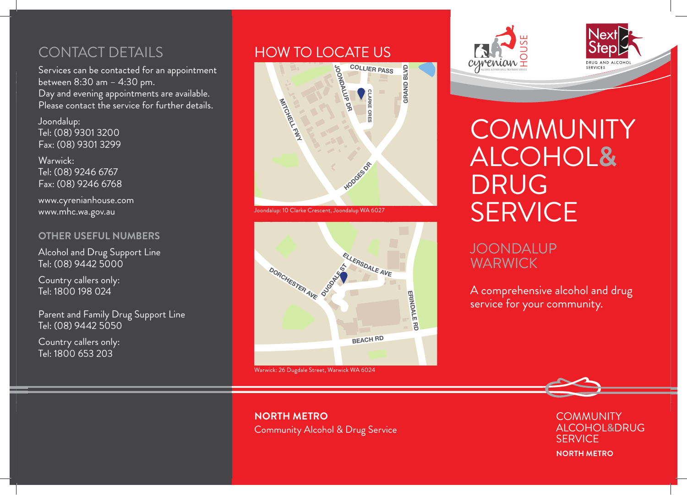Services can be contacted for an appointment between 8:30 am – 4:30 pm. Day and evening appointments are available. Please contact the service for further details.

Joondalup: Tel: (08) 9301 3200 Fax: (08) 9301 3299

Warwick: Tel: (08) 9246 6767 Fax: (08) 9246 6768

www.cyrenianhouse.com www.mhc.wa.gov.au

#### **OTHER USEFUL NUMBERS**

Alcohol and Drug Support Line Tel: (08) 9442 5000

Country callers only: Tel: 1800 198 024

Parent and Family Drug Support Line Tel: (08) 9442 5050

Country callers only: Tel: 1800 653 203

## CONTACT DETAILS **HOW TO LOCATE US**



Joondalup: 10 Clarke Crescent, Joondalup WA 6027







# **COMMUNITY** ALCOHOL**&** DRUG **SERVICE**

# JOONDALUP **WARWICK**

A comprehensive alcohol and drug service for your community.

> **COMMUNITY** ALCOHOL**&**DRUG **SERVICE NORTH METRO**

### **NORTH METRO** Community Alcohol & Drug Service